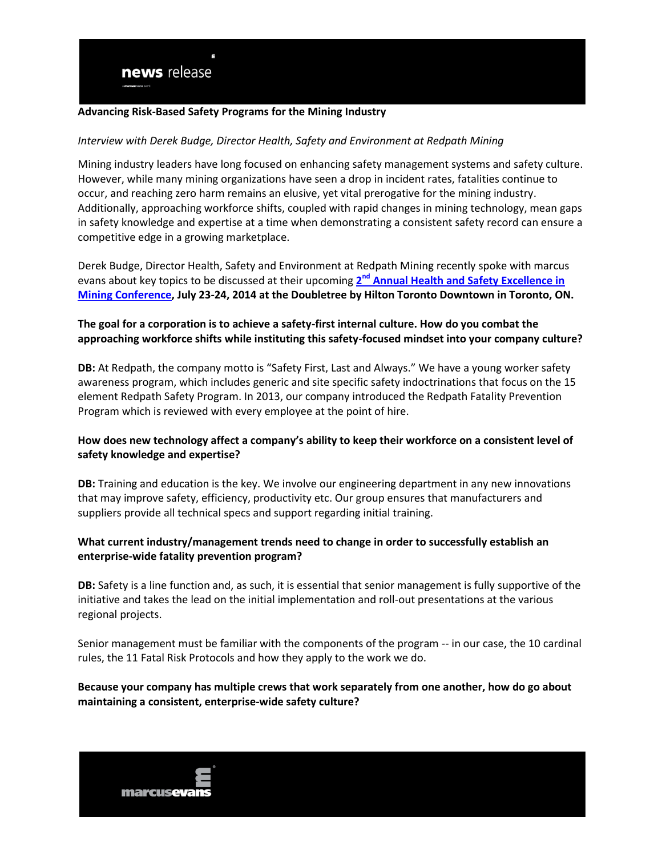#### **Advancing Risk-Based Safety Programs for the Mining Industry**

#### *Interview with Derek Budge, Director Health, Safety and Environment at Redpath Mining*

Mining industry leaders have long focused on enhancing safety management systems and safety culture. However, while many mining organizations have seen a drop in incident rates, fatalities continue to occur, and reaching zero harm remains an elusive, yet vital prerogative for the mining industry. Additionally, approaching workforce shifts, coupled with rapid changes in mining technology, mean gaps in safety knowledge and expertise at a time when demonstrating a consistent safety record can ensure a competitive edge in a growing marketplace.

Derek Budge, Director Health, Safety and Environment at Redpath Mining recently spoke with marcus evans about key topics to be discussed at their upcoming 2<sup>nd</sup> Annual Health and Safety Excellence in **[Mining Conference,](http://www.marcusevans-conferences-northamerican.com/marcusevans-conferences-event-details.asp?EventID=21216&SectorID=38&utm_source=DBintvw&utm_medium=link&utm_term=mining&utm_content=21216_DBintvw_link&utm_campaign=21216_DBintvw_link) July 23-24, 2014 at the Doubletree by Hilton Toronto Downtown in Toronto, ON.**

## **The goal for a corporation is to achieve a safety-first internal culture. How do you combat the approaching workforce shifts while instituting this safety-focused mindset into your company culture?**

**DB:** At Redpath, the company motto is "Safety First, Last and Always." We have a young worker safety awareness program, which includes generic and site specific safety indoctrinations that focus on the 15 element Redpath Safety Program. In 2013, our company introduced the Redpath Fatality Prevention Program which is reviewed with every employee at the point of hire.

## **How does new technology affect a company's ability to keep their workforce on a consistent level of safety knowledge and expertise?**

**DB:** Training and education is the key. We involve our engineering department in any new innovations that may improve safety, efficiency, productivity etc. Our group ensures that manufacturers and suppliers provide all technical specs and support regarding initial training.

## **What current industry/management trends need to change in order to successfully establish an enterprise-wide fatality prevention program?**

**DB:** Safety is a line function and, as such, it is essential that senior management is fully supportive of the initiative and takes the lead on the initial implementation and roll-out presentations at the various regional projects.

Senior management must be familiar with the components of the program -- in our case, the 10 cardinal rules, the 11 Fatal Risk Protocols and how they apply to the work we do.

## **Because your company has multiple crews that work separately from one another, how do go about maintaining a consistent, enterprise-wide safety culture?**

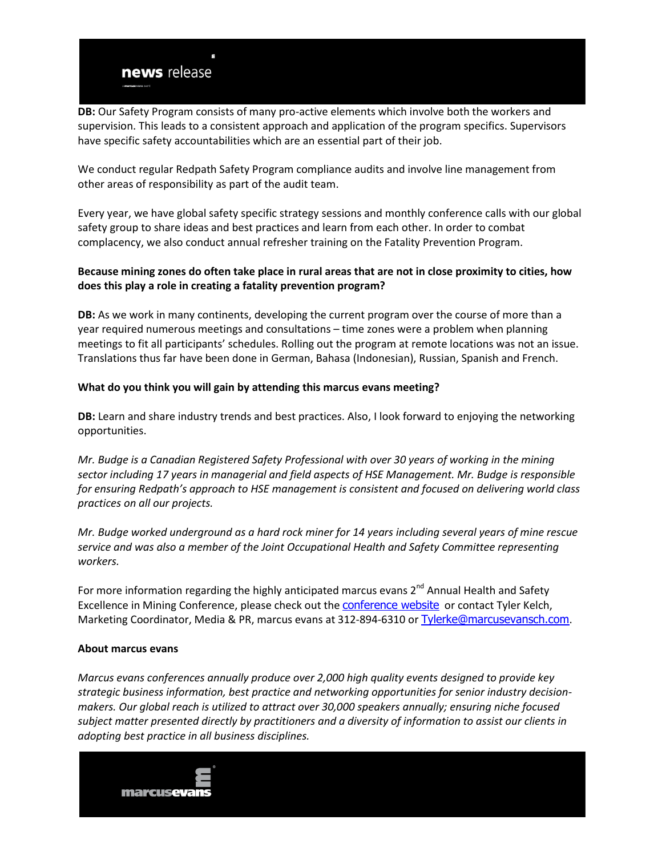**DB:** Our Safety Program consists of many pro-active elements which involve both the workers and supervision. This leads to a consistent approach and application of the program specifics. Supervisors have specific safety accountabilities which are an essential part of their job.

We conduct regular Redpath Safety Program compliance audits and involve line management from other areas of responsibility as part of the audit team.

Every year, we have global safety specific strategy sessions and monthly conference calls with our global safety group to share ideas and best practices and learn from each other. In order to combat complacency, we also conduct annual refresher training on the Fatality Prevention Program.

# **Because mining zones do often take place in rural areas that are not in close proximity to cities, how does this play a role in creating a fatality prevention program?**

**DB:** As we work in many continents, developing the current program over the course of more than a year required numerous meetings and consultations – time zones were a problem when planning meetings to fit all participants' schedules. Rolling out the program at remote locations was not an issue. Translations thus far have been done in German, Bahasa (Indonesian), Russian, Spanish and French.

# **What do you think you will gain by attending this marcus evans meeting?**

**DB:** Learn and share industry trends and best practices. Also, I look forward to enjoying the networking opportunities.

*Mr. Budge is a Canadian Registered Safety Professional with over 30 years of working in the mining sector including 17 years in managerial and field aspects of HSE Management. Mr. Budge is responsible for ensuring Redpath's approach to HSE management is consistent and focused on delivering world class practices on all our projects.*

*Mr. Budge worked underground as a hard rock miner for 14 years including several years of mine rescue service and was also a member of the Joint Occupational Health and Safety Committee representing workers.* 

For more information regarding the highly anticipated marcus evans 2<sup>nd</sup> Annual Health and Safety Excellence in Mining Conference, please check out the [conference website](http://www.marcusevans-conferences-northamerican.com/marcusevans-conferences-event-details.asp?EventID=21216&SectorID=38&utm_source=DBintvw&utm_medium=link&utm_term=mining&utm_content=21216_DBintvw_link&utm_campaign=21216_DBintvw_link) or contact Tyler Kelch, Marketing Coordinator, Media & PR, marcus evans at 312-894-6310 or [Tylerke@marcusevansch.com](mailto:Tylerke@marcusevansch.com).

#### **About marcus evans**

*Marcus evans conferences annually produce over 2,000 high quality events designed to provide key strategic business information, best practice and networking opportunities for senior industry decisionmakers. Our global reach is utilized to attract over 30,000 speakers annually; ensuring niche focused subject matter presented directly by practitioners and a diversity of information to assist our clients in adopting best practice in all business disciplines.*